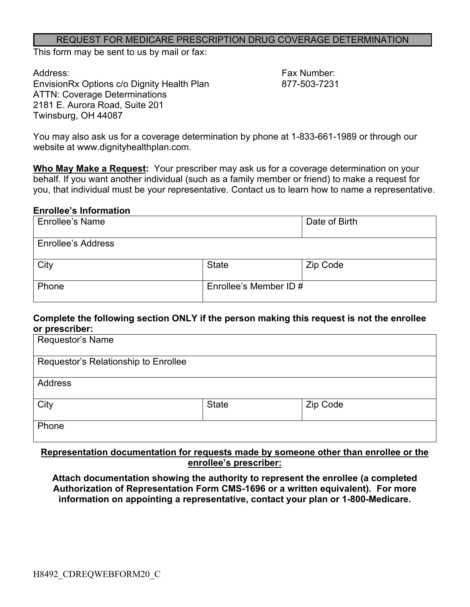#### REQUEST FOR MEDICARE PRESCRIPTION DRUG COVERAGE DETERMINATION

This form may be sent to us by mail or fax:

Address: Fax Number: EnvisionRx Options c/o Dignity Health Plan 877-503-7231 ATTN: Coverage Determinations 2181 E. Aurora Road, Suite 201 Twinsburg, OH 44087

You may also ask us for a coverage determination by phone at 1-833-661-1989 or through our website at www.dignityhealthplan.com.

**Who May Make a Request:** Your prescriber may ask us for a coverage determination on your behalf. If you want another individual (such as a family member or friend) to make a request for you, that individual must be your representative. Contact us to learn how to name a representative.

#### **Enrollee's Information**

| <b>Enrollee's Name</b>    |                        | Date of Birth |
|---------------------------|------------------------|---------------|
| <b>Enrollee's Address</b> |                        |               |
| City                      | <b>State</b>           | Zip Code      |
| Phone                     | Enrollee's Member ID # |               |

### **Complete the following section ONLY if the person making this request is not the enrollee or prescriber:**

| Requestor's Name                     |              |          |  |
|--------------------------------------|--------------|----------|--|
| Requestor's Relationship to Enrollee |              |          |  |
| <b>Address</b>                       |              |          |  |
| City                                 | <b>State</b> | Zip Code |  |
| Phone                                |              |          |  |

### **Representation documentation for requests made by someone other than enrollee or the enrollee's prescriber:**

**Attach documentation showing the authority to represent the enrollee (a completed Authorization of Representation Form CMS-1696 or a written equivalent). For more information on appointing a representative, contact your plan or 1-800-Medicare.**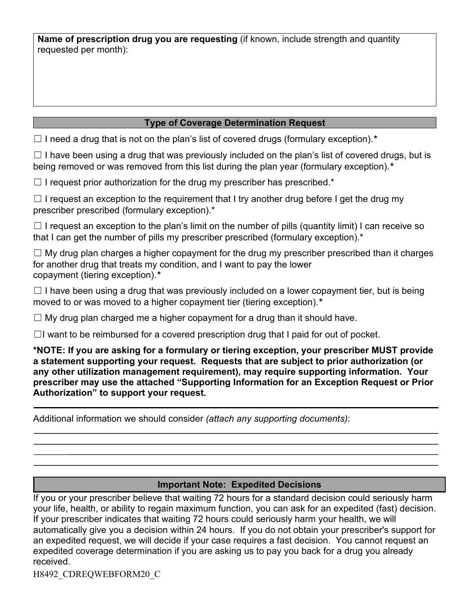**Name of prescription drug you are requesting** (if known, include strength and quantity requested per month):

# **Type of Coverage Determination Request**

☐ I need a drug that is not on the plan's list of covered drugs (formulary exception).*\**

 $\Box$  I have been using a drug that was previously included on the plan's list of covered drugs, but is being removed or was removed from this list during the plan year (formulary exception).*\**

 $\Box$  I request prior authorization for the drug my prescriber has prescribed.\*

 $\Box$  I request an exception to the requirement that I try another drug before I get the drug my prescriber prescribed (formulary exception).\*

 $\Box$  I request an exception to the plan's limit on the number of pills (quantity limit) I can receive so that I can get the number of pills my prescriber prescribed (formulary exception).\*

 $\Box$  My drug plan charges a higher copayment for the drug my prescriber prescribed than it charges for another drug that treats my condition, and I want to pay the lower copayment (tiering exception).*\**

 $\Box$  I have been using a drug that was previously included on a lower copayment tier, but is being moved to or was moved to a higher copayment tier (tiering exception).*\**

 $\Box$  My drug plan charged me a higher copayment for a drug than it should have.

 $\Box$ I want to be reimbursed for a covered prescription drug that I paid for out of pocket.

**\*NOTE: If you are asking for a formulary or tiering exception, your prescriber MUST provide a statement supporting your request. Requests that are subject to prior authorization (or any other utilization management requirement), may require supporting information. Your prescriber may use the attached "Supporting Information for an Exception Request or Prior Authorization" to support your request.**

Additional information we should consider *(attach any supporting documents)*:

## **Important Note: Expedited Decisions**

If you or your prescriber believe that waiting 72 hours for a standard decision could seriously harm your life, health, or ability to regain maximum function, you can ask for an expedited (fast) decision. If your prescriber indicates that waiting 72 hours could seriously harm your health, we will automatically give you a decision within 24 hours. If you do not obtain your prescriber's support for an expedited request, we will decide if your case requires a fast decision. You cannot request an expedited coverage determination if you are asking us to pay you back for a drug you already received.

H8492\_CDREQWEBFORM20\_C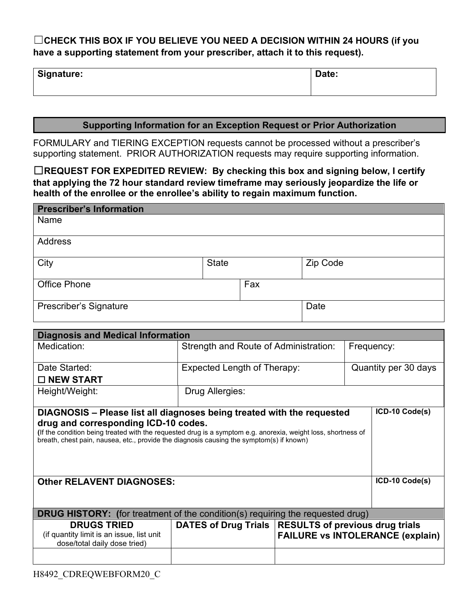# ☐**CHECK THIS BOX IF YOU BELIEVE YOU NEED A DECISION WITHIN 24 HOURS (if you have a supporting statement from your prescriber, attach it to this request).**

| Signature: | Date: |
|------------|-------|
|------------|-------|

## **Supporting Information for an Exception Request or Prior Authorization**

FORMULARY and TIERING EXCEPTION requests cannot be processed without a prescriber's supporting statement. PRIOR AUTHORIZATION requests may require supporting information.

☐**REQUEST FOR EXPEDITED REVIEW: By checking this box and signing below, I certify that applying the 72 hour standard review timeframe may seriously jeopardize the life or health of the enrollee or the enrollee's ability to regain maximum function.**

| <b>Prescriber's Information</b> |              |     |          |
|---------------------------------|--------------|-----|----------|
| Name                            |              |     |          |
| Address                         |              |     |          |
| City                            | <b>State</b> |     | Zip Code |
| <b>Office Phone</b>             |              | Fax |          |
| Prescriber's Signature          |              |     | Date     |

| <b>Diagnosis and Medical Information</b>                                                                                                                                                                                                          |                                                        |                      |                                         |
|---------------------------------------------------------------------------------------------------------------------------------------------------------------------------------------------------------------------------------------------------|--------------------------------------------------------|----------------------|-----------------------------------------|
| Medication:                                                                                                                                                                                                                                       | Strength and Route of Administration:                  |                      | Frequency:                              |
| Date Started:                                                                                                                                                                                                                                     | <b>Expected Length of Therapy:</b>                     | Quantity per 30 days |                                         |
| $\Box$ NEW START                                                                                                                                                                                                                                  |                                                        |                      |                                         |
| Height/Weight:                                                                                                                                                                                                                                    | Drug Allergies:                                        |                      |                                         |
| DIAGNOSIS – Please list all diagnoses being treated with the requested                                                                                                                                                                            |                                                        |                      | ICD-10 Code(s)                          |
| drug and corresponding ICD-10 codes.<br>(If the condition being treated with the requested drug is a symptom e.g. anorexia, weight loss, shortness of<br>breath, chest pain, nausea, etc., provide the diagnosis causing the symptom(s) if known) |                                                        |                      |                                         |
| <b>Other RELAVENT DIAGNOSES:</b>                                                                                                                                                                                                                  |                                                        |                      | ICD-10 Code(s)                          |
| <b>DRUG HISTORY:</b> (for treatment of the condition(s) requiring the requested drug)                                                                                                                                                             |                                                        |                      |                                         |
| <b>DRUGS TRIED</b><br>(if quantity limit is an issue, list unit<br>dose/total daily dose tried)                                                                                                                                                   | DATES of Drug Trials   RESULTS of previous drug trials |                      | <b>FAILURE vs INTOLERANCE (explain)</b> |
|                                                                                                                                                                                                                                                   |                                                        |                      |                                         |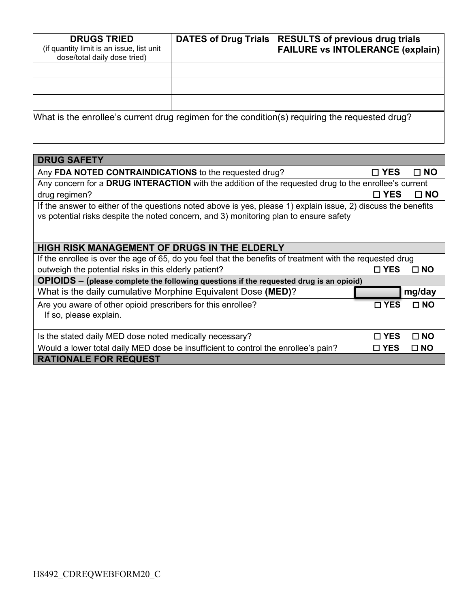| <b>DRUGS TRIED</b><br>(if quantity limit is an issue, list unit<br>dose/total daily dose tried) | <b>DATES of Drug Trials</b> | <b>RESULTS of previous drug trials</b><br><b>FAILURE vs INTOLERANCE (explain)</b>              |
|-------------------------------------------------------------------------------------------------|-----------------------------|------------------------------------------------------------------------------------------------|
|                                                                                                 |                             |                                                                                                |
|                                                                                                 |                             |                                                                                                |
|                                                                                                 |                             |                                                                                                |
|                                                                                                 |                             | What is the enrollee's current drug regimen for the condition(s) requiring the requested drug? |

| <b>DRUG SAFETY</b>                                                                                                                                                                                     |               |              |  |
|--------------------------------------------------------------------------------------------------------------------------------------------------------------------------------------------------------|---------------|--------------|--|
| Any FDA NOTED CONTRAINDICATIONS to the requested drug?                                                                                                                                                 | $\square$ YES | $\square$ NO |  |
| Any concern for a DRUG INTERACTION with the addition of the requested drug to the enrollee's current                                                                                                   |               |              |  |
| drug regimen?                                                                                                                                                                                          | □ YES         | $\square$ NO |  |
| If the answer to either of the questions noted above is yes, please 1) explain issue, 2) discuss the benefits<br>vs potential risks despite the noted concern, and 3) monitoring plan to ensure safety |               |              |  |
| <b>HIGH RISK MANAGEMENT OF DRUGS IN THE ELDERLY</b>                                                                                                                                                    |               |              |  |
| If the enrollee is over the age of 65, do you feel that the benefits of treatment with the requested drug                                                                                              |               |              |  |
| outweigh the potential risks in this elderly patient?                                                                                                                                                  | $\square$ YES | $\Box$ NO    |  |
| OPIOIDS - (please complete the following questions if the requested drug is an opioid)                                                                                                                 |               |              |  |
| What is the daily cumulative Morphine Equivalent Dose (MED)?                                                                                                                                           |               | mg/day       |  |
| Are you aware of other opioid prescribers for this enrollee?<br>If so, please explain.                                                                                                                 | $\sqcap$ YES  | $\Box$ NO    |  |
| Is the stated daily MED dose noted medically necessary?                                                                                                                                                | $\sqcap$ YES  | $\Box$ NO    |  |
| Would a lower total daily MED dose be insufficient to control the enrollee's pain?                                                                                                                     | $\square$ YES | $\square$ NO |  |
| <b>RATIONALE FOR REQUEST</b>                                                                                                                                                                           |               |              |  |